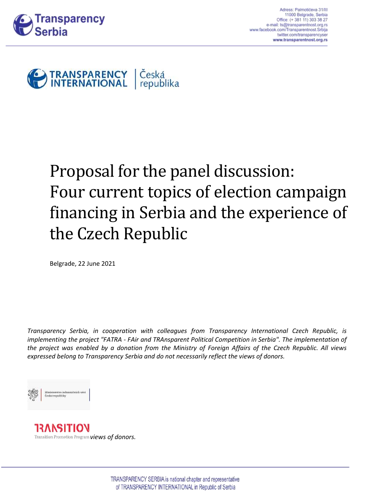



# Proposal for the panel discussion: Four current topics of election campaign financing in Serbia and the experience of the Czech Republic

Belgrade, 22 June 2021

*Transparency Serbia, in cooperation with colleagues from Transparency International Czech Republic, is implementing the project "FATRA - FAir and TRAnsparent Political Competition in Serbia". The implementation of the project was enabled by a donation from the Ministry of Foreign Affairs of the Czech Republic. All views expressed belong to Transparency Serbia and do not necessarily reflect the views of donors.*

#### Ministerstvo zahraničnich věci České republiky

**13ANSITIO`** Transition Promotion Program **views of donors.**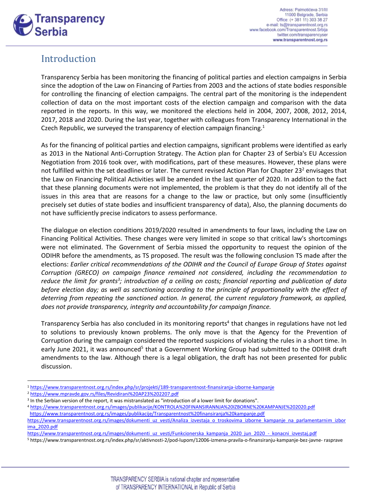

# Introduction

Transparency Serbia has been monitoring the financing of political parties and election campaigns in Serbia since the adoption of the Law on Financing of Parties from 2003 and the actions of state bodies responsible for controlling the financing of election campaigns. The central part of the monitoring is the independent collection of data on the most important costs of the election campaign and comparison with the data reported in the reports. In this way, we monitored the elections held in 2004, 2007, 2008, 2012, 2014, 2017, 2018 and 2020. During the last year, together with colleagues from Transparency International in the Czech Republic, we surveyed the transparency of election campaign financing.<sup>1</sup>

As for the financing of political parties and election campaigns, significant problems were identified as early as 2013 in the National Anti-Corruption Strategy. The Action plan for Chapter 23 of Serbia's EU Accession Negotiation from 2016 took over, with modifications, part of these measures. However, these plans were not fulfilled within the set deadlines or later. The current revised Action Plan for Chapter 23<sup>2</sup> envisages that the Law on Financing Political Activities will be amended in the last quarter of 2020. In addition to the fact that these planning documents were not implemented, the problem is that they do not identify all of the issues in this area that are reasons for a change to the law or practice, but only some (insufficiently precisely set duties of state bodies and insufficient transparency of data), Also, the planning documents do not have sufficiently precise indicators to assess performance.

The dialogue on election conditions 2019/2020 resulted in amendments to four laws, including the Law on Financing Political Activities. These changes were very limited in scope so that critical law's shortcomings were not eliminated. The Government of Serbia missed the opportunity to request the opinion of the ODIHR before the amendments, as TS proposed. The result was the following conclusion TS made after the elections: *Earlier critical recommendations of the ODIHR and the Council of Europe Group of States against Corruption (GRECO) on campaign finance remained not considered, including the recommendation to*  reduce the limit for grants<sup>3</sup>; introduction of a ceiling on costs; financial reporting and publication of data before election day; as well as sanctioning according to the principle of proportionality with the effect of *deterring from repeating the sanctioned action. In general, the current regulatory framework, as applied, does not provide transparency, integrity and accountability for campaign finance.*

Transparency Serbia has also concluded in its monitoring reports<sup>4</sup> that changes in regulations have not led to solutions to previously known problems. The only move is that the Agency for the Prevention of Corruption during the campaign considered the reported suspicions of violating the rules in a short time. In early June 2021, it was announced<sup>5</sup> that a Government Working Group had submitted to the ODIHR draft amendments to the law. Although there is a legal obligation, the draft has not been presented for public discussion.

<sup>1</sup> <https://www.transparentnost.org.rs/index.php/sr/projekti/189-transparentnost-finansiranja-izborne-kampanje>

<sup>2</sup> <https://www.mpravde.gov.rs/files/Revidirani%20AP23%202207.pdf>

<sup>&</sup>lt;sup>3</sup> In the Serbian version of the report, it was mistranslated as "introduction of a lower limit for donations".

<sup>4</sup> <https://www.transparentnost.org.rs/images/publikacije/KONTROLA%20FINANSIRANNJA%20IZBORNE%20KAMPANJE%202020.pdf> <https://www.transparentnost.org.rs/images/publikacije/Transparentnost%20finansiranja%20kampanje.pdf>

[https://www.transparentnost.org.rs/images/dokumenti\\_uz\\_vesti/Analiza\\_izvestaja\\_o\\_troskovima\\_izborne\\_kampanje\\_na\\_parlamentarnim\\_izbor](https://www.transparentnost.org.rs/images/dokumenti_uz_vesti/Analiza_izvestaja_o_troskovima_izborne_kampanje_na_parlamentarnim_izborima_2020.pdf) [ima\\_2020.pdf](https://www.transparentnost.org.rs/images/dokumenti_uz_vesti/Analiza_izvestaja_o_troskovima_izborne_kampanje_na_parlamentarnim_izborima_2020.pdf)

[https://www.transparentnost.org.rs/images/dokumenti\\_uz\\_vesti/Funkcionerska\\_kampanja\\_2020\\_jun\\_2020\\_-\\_konacni\\_izvestaj.pdf](https://www.transparentnost.org.rs/images/dokumenti_uz_vesti/Funkcionerska_kampanja_2020_jun_2020_-_konacni_izvestaj.pdf)

<sup>5</sup> https://www.transparentnost.org.rs/index.php/sr/aktivnosti-2/pod-lupom/12006-izmena-pravila-o-finansiranju-kampanje-bez-javne- rasprave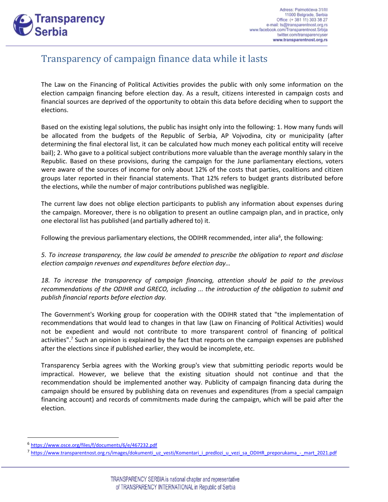

# Transparency of campaign finance data while it lasts

The Law on the Financing of Political Activities provides the public with only some information on the election campaign financing before election day. As a result, citizens interested in campaign costs and financial sources are deprived of the opportunity to obtain this data before deciding when to support the elections.

Based on the existing legal solutions, the public has insight only into the following: 1. How many funds will be allocated from the budgets of the Republic of Serbia, AP Vojvodina, city or municipality (after determining the final electoral list, it can be calculated how much money each political entity will receive bail); 2. Who gave to a political subject contributions more valuable than the average monthly salary in the Republic. Based on these provisions, during the campaign for the June parliamentary elections, voters were aware of the sources of income for only about 12% of the costs that parties, coalitions and citizen groups later reported in their financial statements. That 12% refers to budget grants distributed before the elections, while the number of major contributions published was negligible.

The current law does not oblige election participants to publish any information about expenses during the campaign. Moreover, there is no obligation to present an outline campaign plan, and in practice, only one electoral list has published (and partially adhered to) it.

Following the previous parliamentary elections, the ODIHR recommended, inter alia<sup>6</sup>, the following:

*5. To increase transparency, the law could be amended to prescribe the obligation to report and disclose election campaign revenues and expenditures before election day…*

*18. To increase the transparency of campaign financing, attention should be paid to the previous recommendations of the ODIHR and GRECO, including ... the introduction of the obligation to submit and publish financial reports before election day.*

The Government's Working group for cooperation with the ODIHR stated that "the implementation of recommendations that would lead to changes in that law (Law on Financing of Political Activities) would not be expedient and would not contribute to more transparent control of financing of political activities".<sup>7</sup> Such an opinion is explained by the fact that reports on the campaign expenses are published after the elections since if published earlier, they would be incomplete, etc.

Transparency Serbia agrees with the Working group's view that submitting periodic reports would be impractical. However, we believe that the existing situation should not continue and that the recommendation should be implemented another way. Publicity of campaign financing data during the campaign should be ensured by publishing data on revenues and expenditures (from a special campaign financing account) and records of commitments made during the campaign, which will be paid after the election.

<sup>&</sup>lt;sup>6</sup> <https://www.osce.org/files/f/documents/6/e/467232.pdf>

<sup>&</sup>lt;sup>7</sup> [https://www.transparentnost.org.rs/images/dokumenti\\_uz\\_vesti/Komentari\\_i\\_predlozi\\_u\\_vezi\\_sa\\_ODIHR\\_preporukama\\_-\\_mart\\_2021.pdf](https://www.transparentnost.org.rs/images/dokumenti_uz_vesti/Komentari_i_predlozi_u_vezi_sa_ODIHR_preporukama_-_mart_2021.pdf)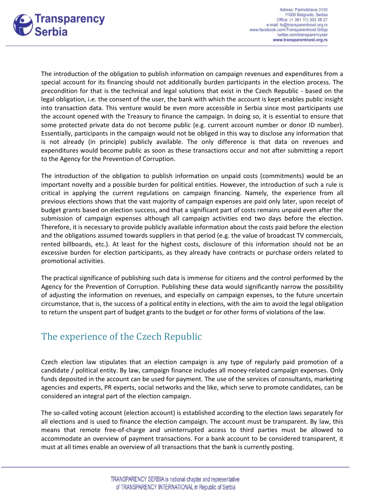

The introduction of the obligation to publish information on campaign revenues and expenditures from a special account for its financing should not additionally burden participants in the election process. The precondition for that is the technical and legal solutions that exist in the Czech Republic - based on the legal obligation, i.e. the consent of the user, the bank with which the account is kept enables public insight into transaction data. This venture would be even more accessible in Serbia since most participants use the account opened with the Treasury to finance the campaign. In doing so, it is essential to ensure that some protected private data do not become public (e.g. current account number or donor ID number). Essentially, participants in the campaign would not be obliged in this way to disclose any information that is not already (in principle) publicly available. The only difference is that data on revenues and expenditures would become public as soon as these transactions occur and not after submitting a report to the Agency for the Prevention of Corruption.

The introduction of the obligation to publish information on unpaid costs (commitments) would be an important novelty and a possible burden for political entities. However, the introduction of such a rule is critical in applying the current regulations on campaign financing. Namely, the experience from all previous elections shows that the vast majority of campaign expenses are paid only later, upon receipt of budget grants based on election success, and that a significant part of costs remains unpaid even after the submission of campaign expenses although all campaign activities end two days before the election. Therefore, it is necessary to provide publicly available information about the costs paid before the election and the obligations assumed towards suppliers in that period (e.g. the value of broadcast TV commercials, rented billboards, etc.). At least for the highest costs, disclosure of this information should not be an excessive burden for election participants, as they already have contracts or purchase orders related to promotional activities.

The practical significance of publishing such data is immense for citizens and the control performed by the Agency for the Prevention of Corruption. Publishing these data would significantly narrow the possibility of adjusting the information on revenues, and especially on campaign expenses, to the future uncertain circumstance, that is, the success of a political entity in elections, with the aim to avoid the legal obligation to return the unspent part of budget grants to the budget or for other forms of violations of the law.

# The experience of the Czech Republic

Czech election law stipulates that an election campaign is any type of regularly paid promotion of a candidate / political entity. By law, campaign finance includes all money-related campaign expenses. Only funds deposited in the account can be used for payment. The use of the services of consultants, marketing agencies and experts, PR experts, social networks and the like, which serve to promote candidates, can be considered an integral part of the election campaign.

The so-called voting account (election account) is established according to the election laws separately for all elections and is used to finance the election campaign. The account must be transparent. By law, this means that remote free-of-charge and uninterrupted access to third parties must be allowed to accommodate an overview of payment transactions. For a bank account to be considered transparent, it must at all times enable an overview of all transactions that the bank is currently posting.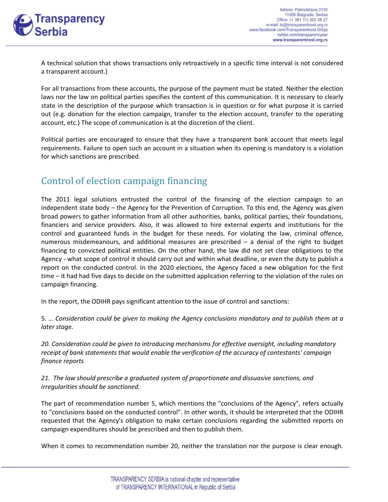

A technical solution that shows transactions only retroactively in a specific time interval is not considered a transparent account.)

For all transactions from these accounts, the purpose of the payment must be stated. Neither the election laws nor the law on political parties specifies the content of this communication. It is necessary to clearly state in the description of the purpose which transaction is in question or for what purpose it is carried out (e.g. donation for the election campaign, transfer to the election account, transfer to the operating account, etc.) The scope of communication is at the discretion of the client.

Political parties are encouraged to ensure that they have a transparent bank account that meets legal requirements. Failure to open such an account in a situation when its opening is mandatory is a violation for which sanctions are prescribed.

# Control of election campaign financing

The 2011 legal solutions entrusted the control of the financing of the election campaign to an independent state body – the Agency for the Prevention of Corruption. To this end, the Agency was given broad powers to gather information from all other authorities, banks, political parties, their foundations, financiers and service providers. Also, it was allowed to hire external experts and institutions for the control and guaranteed funds in the budget for these needs. For violating the law, criminal offence, numerous misdemeanours, and additional measures are prescribed – a denial of the right to budget financing to convicted political entities. On the other hand, the law did not set clear obligations to the Agency - what scope of control it should carry out and within what deadline, or even the duty to publish a report on the conducted control. In the 2020 elections, the Agency faced a new obligation for the first time – it had had five days to decide on the submitted application referring to the violation of the rules on campaign financing.

In the report, the ODIHR pays significant attention to the issue of control and sanctions:

5*. … Consideration could be given to making the Agency conclusions mandatory and to publish them at a later stage.*

*20. Consideration could be given to introducing mechanisms for effective oversight, including mandatory receipt of bank statements that would enable the verification of the accuracy of contestants' campaign finance reports*

*21. The law should prescribe a graduated system of proportionate and dissuasive sanctions, and irregularities should be sanctioned.*

The part of recommendation number 5, which mentions the "conclusions of the Agency", refers actually to "conclusions based on the conducted control". In other words, it should be interpreted that the ODIHR requested that the Agency's obligation to make certain conclusions regarding the submitted reports on campaign expenditures should be prescribed and then to publish them.

When it comes to recommendation number 20, neither the translation nor the purpose is clear enough.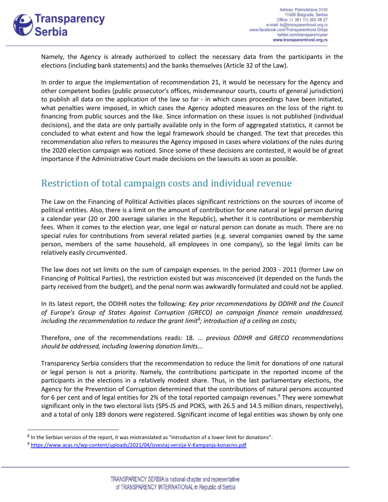

Namely, the Agency is already authorized to collect the necessary data from the participants in the elections (including bank statements) and the banks themselves (Article 32 of the Law).

In order to argue the implementation of recommendation 21, it would be necessary for the Agency and other competent bodies (public prosecutor's offices, misdemeanour courts, courts of general jurisdiction) to publish all data on the application of the law so far - in which cases proceedings have been initiated, what penalties were imposed, in which cases the Agency adopted measures on the loss of the right to financing from public sources and the like. Since information on these issues is not published (individual decisions), and the data are only partially available only in the form of aggregated statistics, it cannot be concluded to what extent and how the legal framework should be changed. The text that precedes this recommendation also refers to measures the Agency imposed in cases where violations of the rules during the 2020 election campaign was noticed. Since some of these decisions are contested, it would be of great importance if the Administrative Court made decisions on the lawsuits as soon as possible.

# Restriction of total campaign costs and individual revenue

The Law on the Financing of Political Activities places significant restrictions on the sources of income of political entities. Also, there is a limit on the amount of contribution for one natural or legal person during a calendar year (20 or 200 average salaries in the Republic), whether it is contributions or membership fees. When it comes to the election year, one legal or natural person can donate as much. There are no special rules for contributions from several related parties (e.g. several companies owned by the same person, members of the same household, all employees in one company), so the legal limits can be relatively easily circumvented.

The law does not set limits on the sum of campaign expenses. In the period 2003 - 2011 (former Law on Financing of Political Parties), the restriction existed but was misconceived (it depended on the funds the party received from the budget), and the penal norm was awkwardly formulated and could not be applied.

In its latest report, the ODIHR notes the following: *Key prior recommendations by ODIHR and the Council of Europe's Group of States Against Corruption (GRECO) on campaign finance remain unaddressed, including the recommendation to reduce the grant limit<sup>8</sup> ; introduction of a ceiling on costs;*

Therefore, one of the recommendations reads: 18. ... *previous ODIHR and GRECO recommendations should be addressed, including lowering donation limits...*

Transparency Serbia considers that the recommendation to reduce the limit for donations of one natural or legal person is not a priority. Namely, the contributions participate in the reported income of the participants in the elections in a relatively modest share. Thus, in the last parliamentary elections, the Agency for the Prevention of Corruption determined that the contributions of natural persons accounted for 6 per cent and of legal entities for 2% of the total reported campaign revenues. $9$  They were somewhat significant only in the two electoral lists (SPS-JS and POKS, with 26.5 and 14.5 million dinars, respectively), and a total of only 189 donors were registered. Significant income of legal entities was shown by only one

<sup>8</sup> In the Serbian version of the report, it was mistranslated as "introduction of a lower limit for donations".

<sup>9</sup> <https://www.acas.rs/wp-content/uploads/2021/04/Izvestaj-verzija-V-Kampanja-konacno.pdf>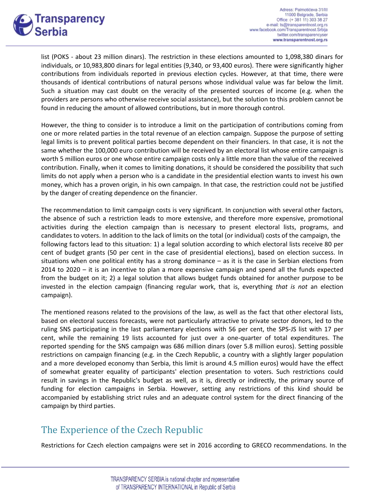

list (POKS - about 23 million dinars). The restriction in these elections amounted to 1,098,380 dinars for individuals, or 10,983,800 dinars for legal entities (9,340, or 93,400 euros). There were significantly higher contributions from individuals reported in previous election cycles. However, at that time, there were thousands of identical contributions of natural persons whose individual value was far below the limit. Such a situation may cast doubt on the veracity of the presented sources of income (e.g. when the providers are persons who otherwise receive social assistance), but the solution to this problem cannot be found in reducing the amount of allowed contributions, but in more thorough control.

However, the thing to consider is to introduce a limit on the participation of contributions coming from one or more related parties in the total revenue of an election campaign. Suppose the purpose of setting legal limits is to prevent political parties become dependent on their financiers. In that case, it is not the same whether the 100,000 euro contribution will be received by an electoral list whose entire campaign is worth 5 million euros or one whose entire campaign costs only a little more than the value of the received contribution. Finally, when it comes to limiting donations, it should be considered the possibility that such limits do not apply when a person who is a candidate in the presidential election wants to invest his own money, which has a proven origin, in his own campaign. In that case, the restriction could not be justified by the danger of creating dependence on the financier.

The recommendation to limit campaign costs is very significant. In conjunction with several other factors, the absence of such a restriction leads to more extensive, and therefore more expensive, promotional activities during the election campaign than is necessary to present electoral lists, programs, and candidates to voters. In addition to the lack of limits on the total (or individual) costs of the campaign, the following factors lead to this situation: 1) a legal solution according to which electoral lists receive 80 per cent of budget grants (50 per cent in the case of presidential elections), based on election success. In situations when one political entity has a strong dominance – as it is the case in Serbian elections from 2014 to 2020 – it is an incentive to plan a more expensive campaign and spend all the funds expected from the budget on it; 2) a legal solution that allows budget funds obtained for another purpose to be invested in the election campaign (financing regular work, that is, everything *that is not* an election campaign).

The mentioned reasons related to the provisions of the law, as well as the fact that other electoral lists, based on electoral success forecasts, were not particularly attractive to private sector donors, led to the ruling SNS participating in the last parliamentary elections with 56 per cent, the SPS-JS list with 17 per cent, while the remaining 19 lists accounted for just over a one-quarter of total expenditures. The reported spending for the SNS campaign was 686 million dinars (over 5.8 million euros). Setting possible restrictions on campaign financing (e.g. in the Czech Republic, a country with a slightly larger population and a more developed economy than Serbia, this limit is around 4.5 million euros) would have the effect of somewhat greater equality of participants' election presentation to voters. Such restrictions could result in savings in the Republic's budget as well, as it is, directly or indirectly, the primary source of funding for election campaigns in Serbia. However, setting any restrictions of this kind should be accompanied by establishing strict rules and an adequate control system for the direct financing of the campaign by third parties.

# The Experience of the Czech Republic

Restrictions for Czech election campaigns were set in 2016 according to GRECO recommendations. In the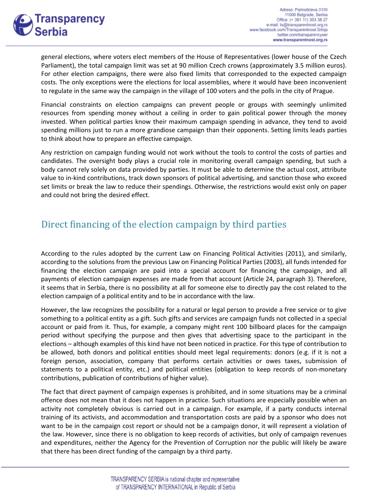

general elections, where voters elect members of the House of Representatives (lower house of the Czech Parliament), the total campaign limit was set at 90 million Czech crowns (approximately 3.5 million euros). For other election campaigns, there were also fixed limits that corresponded to the expected campaign costs. The only exceptions were the elections for local assemblies, where it would have been inconvenient to regulate in the same way the campaign in the village of 100 voters and the polls in the city of Prague.

Financial constraints on election campaigns can prevent people or groups with seemingly unlimited resources from spending money without a ceiling in order to gain political power through the money invested. When political parties know their maximum campaign spending in advance, they tend to avoid spending millions just to run a more grandiose campaign than their opponents. Setting limits leads parties to think about how to prepare an effective campaign.

Any restriction on campaign funding would not work without the tools to control the costs of parties and candidates. The oversight body plays a crucial role in monitoring overall campaign spending, but such a body cannot rely solely on data provided by parties. It must be able to determine the actual cost, attribute value to in-kind contributions, track down sponsors of political advertising, and sanction those who exceed set limits or break the law to reduce their spendings. Otherwise, the restrictions would exist only on paper and could not bring the desired effect.

# Direct financing of the election campaign by third parties

According to the rules adopted by the current Law on Financing Political Activities (2011), and similarly, according to the solutions from the previous Law on Financing Political Parties (2003), all funds intended for financing the election campaign are paid into a special account for financing the campaign, and all payments of election campaign expenses are made from that account (Article 24, paragraph 3). Therefore, it seems that in Serbia, there is no possibility at all for someone else to directly pay the cost related to the election campaign of a political entity and to be in accordance with the law.

However, the law recognizes the possibility for a natural or legal person to provide a free service or to give something to a political entity as a gift. Such gifts and services are campaign funds not collected in a special account or paid from it. Thus, for example, a company might rent 100 billboard places for the campaign period without specifying the purpose and then gives that advertising space to the participant in the elections – although examples of this kind have not been noticed in practice. For this type of contribution to be allowed, both donors and political entities should meet legal requirements: donors (e.g. if it is not a foreign person, association, company that performs certain activities or owes taxes, submission of statements to a political entity, etc.) and political entities (obligation to keep records of non-monetary contributions, publication of contributions of higher value).

The fact that direct payment of campaign expenses is prohibited, and in some situations may be a criminal offence does not mean that it does not happen in practice. Such situations are especially possible when an activity not completely obvious is carried out in a campaign. For example, if a party conducts internal training of its activists, and accommodation and transportation costs are paid by a sponsor who does not want to be in the campaign cost report or should not be a campaign donor, it will represent a violation of the law. However, since there is no obligation to keep records of activities, but only of campaign revenues and expenditures, neither the Agency for the Prevention of Corruption nor the public will likely be aware that there has been direct funding of the campaign by a third party.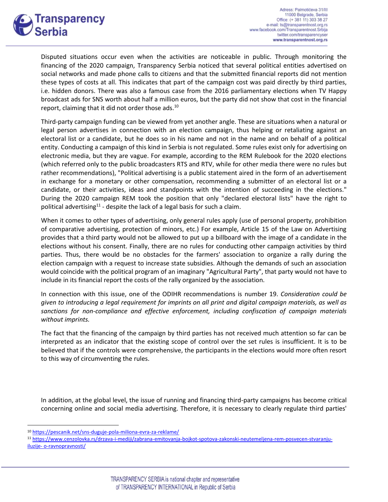

Disputed situations occur even when the activities are noticeable in public. Through monitoring the financing of the 2020 campaign, Transparency Serbia noticed that several political entities advertised on social networks and made phone calls to citizens and that the submitted financial reports did not mention these types of costs at all. This indicates that part of the campaign cost was paid directly by third parties, i.e. hidden donors. There was also a famous case from the 2016 parliamentary elections when TV Happy broadcast ads for SNS worth about half a million euros, but the party did not show that cost in the financial report, claiming that it did not order those ads.<sup>10</sup>

Third-party campaign funding can be viewed from yet another angle. These are situations when a natural or legal person advertises in connection with an election campaign, thus helping or retaliating against an electoral list or a candidate, but he does so in his name and not in the name and on behalf of a political entity. Conducting a campaign of this kind in Serbia is not regulated. Some rules exist only for advertising on electronic media, but they are vague. For example, according to the REM Rulebook for the 2020 elections (which referred only to the public broadcasters RTS and RTV, while for other media there were no rules but rather recommendations), "Political advertising is a public statement aired in the form of an advertisement in exchange for a monetary or other compensation, recommending a submitter of an electoral list or a candidate, or their activities, ideas and standpoints with the intention of succeeding in the elections." During the 2020 campaign REM took the position that only "declared electoral lists" have the right to political advertising<sup>11</sup> - despite the lack of a legal basis for such a claim.

When it comes to other types of advertising, only general rules apply (use of personal property, prohibition of comparative advertising, protection of minors, etc.) For example, Article 15 of the Law on Advertising provides that a third party would not be allowed to put up a billboard with the image of a candidate in the elections without his consent. Finally, there are no rules for conducting other campaign activities by third parties. Thus, there would be no obstacles for the farmers' association to organize a rally during the election campaign with a request to increase state subsidies. Although the demands of such an association would coincide with the political program of an imaginary "Agricultural Party", that party would not have to include in its financial report the costs of the rally organized by the association.

In connection with this issue, one of the ODIHR recommendations is number 19. *Consideration could be given to introducing a legal requirement for imprints on all print and digital campaign materials, as well as sanctions for non-compliance and effective enforcement, including confiscation of campaign materials without imprints.*

The fact that the financing of the campaign by third parties has not received much attention so far can be interpreted as an indicator that the existing scope of control over the set rules is insufficient. It is to be believed that if the controls were comprehensive, the participants in the elections would more often resort to this way of circumventing the rules.

In addition, at the global level, the issue of running and financing third-party campaigns has become critical concerning online and social media advertising. Therefore, it is necessary to clearly regulate third parties'

<sup>10</sup> <https://pescanik.net/sns-duguje-pola-miliona-evra-za-reklame/>

<sup>11</sup> [https://www.cenzolovka.rs/drzava-i-mediji/zabrana-emitovanja-bojkot-spotova-zakonski-neutemeljena-rem-posvecen-stvaranju](https://www.cenzolovka.rs/drzava-i-mediji/zabrana-emitovanja-bojkot-spotova-zakonski-neutemeljena-rem-posvecen-stvaranju-iluzije-%20o-ravnopravnosti/)iluzije- [o-ravnopravnosti/](https://www.cenzolovka.rs/drzava-i-mediji/zabrana-emitovanja-bojkot-spotova-zakonski-neutemeljena-rem-posvecen-stvaranju-iluzije-%20o-ravnopravnosti/)